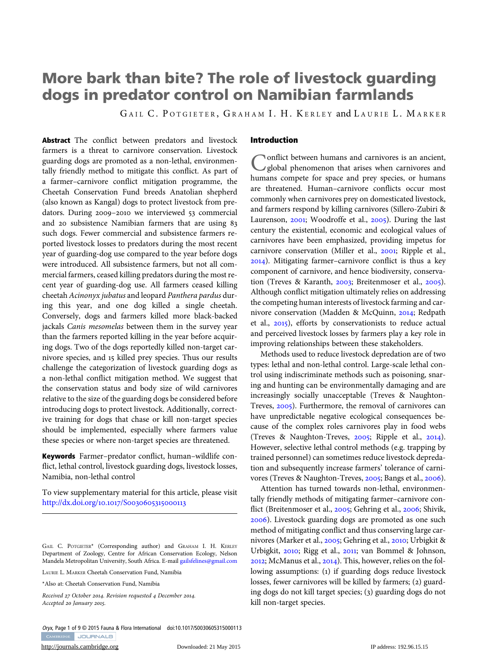# More bark than bite? The role of livestock guarding dogs in predator control on Namibian farmlands

GAIL C. POTGIETER, GRAHAM I. H. KERLEY and LAURIE L. MARKER

Abstract The conflict between predators and livestock farmers is a threat to carnivore conservation. Livestock guarding dogs are promoted as a non-lethal, environmentally friendly method to mitigate this conflict. As part of a farmer–carnivore conflict mitigation programme, the Cheetah Conservation Fund breeds Anatolian shepherd (also known as Kangal) dogs to protect livestock from predators. During 2009-2010 we interviewed 53 commercial and 20 subsistence Namibian farmers that are using 83 such dogs. Fewer commercial and subsistence farmers reported livestock losses to predators during the most recent year of guarding-dog use compared to the year before dogs were introduced. All subsistence farmers, but not all commercial farmers, ceased killing predators during the most recent year of guarding-dog use. All farmers ceased killing cheetah Acinonyx jubatus and leopard Panthera pardus during this year, and one dog killed a single cheetah. Conversely, dogs and farmers killed more black-backed jackals Canis mesomelas between them in the survey year than the farmers reported killing in the year before acquiring dogs. Two of the dogs reportedly killed non-target carnivore species, and 15 killed prey species. Thus our results challenge the categorization of livestock guarding dogs as a non-lethal conflict mitigation method. We suggest that the conservation status and body size of wild carnivores relative to the size of the guarding dogs be considered before introducing dogs to protect livestock. Additionally, corrective training for dogs that chase or kill non-target species should be implemented, especially where farmers value these species or where non-target species are threatened.

Keywords Farmer–predator conflict, human–wildlife conflict, lethal control, livestock guarding dogs, livestock losses, Namibia, non-lethal control

To view supplementary material for this article, please visit [http://](http://dx.doi.org/10.1017/S0030605315000113)dx.doi.org/10.1017/S0030605315000113

GAIL C. POTGIETER\* (Corresponding author) and GRAHAM I. H. KERLEY Department of Zoology, Centre for African Conservation Ecology, Nelson Mandela Metropolitan University, South Africa. E-mail [gailsfelines@gmail.com](mailto:gailsfelines@gmail.com)

LAURIE L. MARKER Cheetah Conservation Fund, Namibia

Received 27 October 2014. Revision requested 4 December 2014. Accepted 20 January 2015.

Introduction

Conflict between humans and carnivores is an ancient, global phenomenon that arises when carnivores and humans compete for space and prey species, or humans are threatened. Human–carnivore conflicts occur most commonly when carnivores prey on domesticated livestock, and farmers respond by killing carnivores (Sillero-Zubiri & Laurenson, 2001; Woodroffe et al., 2005). During the last century the existential, economic and ecological values of carnivores have been emphasized, providing impetus for carnivore conservation (Miller et al., 2001; Ripple et al., ). Mitigating farmer–carnivore conflict is thus a key component of carnivore, and hence biodiversity, conservation (Treves & Karanth,  $2003$ ; Breitenmoser et al.,  $2005$ ). Although conflict mitigation ultimately relies on addressing the competing human interests of livestock farming and carnivore conservation (Madden & McQuinn, 2014; Redpath et al., 2015), efforts by conservationists to reduce actual and perceived livestock losses by farmers play a key role in improving relationships between these stakeholders.

Methods used to reduce livestock depredation are of two types: lethal and non-lethal control. Large-scale lethal control using indiscriminate methods such as poisoning, snaring and hunting can be environmentally damaging and are increasingly socially unacceptable (Treves & Naughton-Treves, 2005). Furthermore, the removal of carnivores can have unpredictable negative ecological consequences because of the complex roles carnivores play in food webs (Treves & Naughton-Treves, 2005; Ripple et al., 2014). However, selective lethal control methods (e.g. trapping by trained personnel) can sometimes reduce livestock depredation and subsequently increase farmers' tolerance of carnivores (Treves & Naughton-Treves, 2005; Bangs et al., 2006).

Attention has turned towards non-lethal, environmentally friendly methods of mitigating farmer–carnivore conflict (Breitenmoser et al., 2005; Gehring et al., 2006; Shivik, ). Livestock guarding dogs are promoted as one such method of mitigating conflict and thus conserving large carnivores (Marker et al., 2005; Gehring et al., 2010; Urbigkit & Urbigkit, 2010; Rigg et al., 2011; van Bommel & Johnson,  $2012$ ; McManus et al.,  $2014$ ). This, however, relies on the following assumptions: (1) if guarding dogs reduce livestock losses, fewer carnivores will be killed by farmers; (2) guarding dogs do not kill target species; (3) guarding dogs do not kill non-target species.

Oryx, Page 1 of 9 © 2015 Fauna & Flora International doi:10.1017/S0030605315000113CAMBRIDGE JOURNALS

<sup>\*</sup>Also at: Cheetah Conservation Fund, Namibia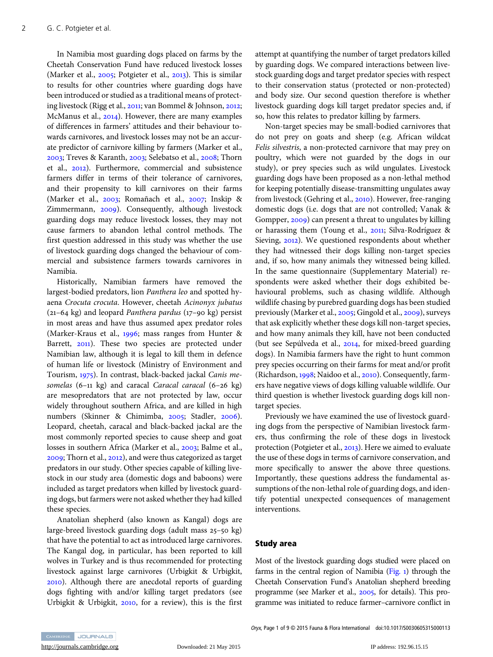In Namibia most guarding dogs placed on farms by the Cheetah Conservation Fund have reduced livestock losses (Marker et al.,  $2005$ ; Potgieter et al.,  $2013$ ). This is similar to results for other countries where guarding dogs have been introduced or studied as a traditional means of protecting livestock (Rigg et al., 2011; van Bommel & Johnson, 2012; McManus et al., 2014). However, there are many examples of differences in farmers' attitudes and their behaviour towards carnivores, and livestock losses may not be an accurate predictor of carnivore killing by farmers (Marker et al., 2003; Treves & Karanth, 2003; Selebatso et al., 2008; Thorn et al., 2012). Furthermore, commercial and subsistence farmers differ in terms of their tolerance of carnivores, and their propensity to kill carnivores on their farms (Marker et al., 2003; Romañach et al., 2007; Inskip & Zimmermann, 2009). Consequently, although livestock guarding dogs may reduce livestock losses, they may not cause farmers to abandon lethal control methods. The first question addressed in this study was whether the use of livestock guarding dogs changed the behaviour of commercial and subsistence farmers towards carnivores in Namibia.

Historically, Namibian farmers have removed the largest-bodied predators, lion Panthera leo and spotted hyaena Crocuta crocuta. However, cheetah Acinonyx jubatus  $(21-64 \text{ kg})$  and leopard Panthera pardus  $(17-90 \text{ kg})$  persist in most areas and have thus assumed apex predator roles (Marker-Kraus et al., 1996; mass ranges from Hunter & Barrett, 2011). These two species are protected under Namibian law, although it is legal to kill them in defence of human life or livestock (Ministry of Environment and Tourism, 1975). In contrast, black-backed jackal Canis mesomelas (6-11 kg) and caracal Caracal caracal (6-26 kg) are mesopredators that are not protected by law, occur widely throughout southern Africa, and are killed in high numbers (Skinner & Chimimba, 2005; Stadler, 2006). Leopard, cheetah, caracal and black-backed jackal are the most commonly reported species to cause sheep and goat losses in southern Africa (Marker et al., 2003; Balme et al., 2009; Thorn et al., 2012), and were thus categorized as target predators in our study. Other species capable of killing livestock in our study area (domestic dogs and baboons) were included as target predators when killed by livestock guarding dogs, but farmers were not asked whether they had killed these species.

Anatolian shepherd (also known as Kangal) dogs are large-breed livestock guarding dogs (adult mass 25-50 kg) that have the potential to act as introduced large carnivores. The Kangal dog, in particular, has been reported to kill wolves in Turkey and is thus recommended for protecting livestock against large carnivores (Urbigkit & Urbigkit, ). Although there are anecdotal reports of guarding dogs fighting with and/or killing target predators (see Urbigkit & Urbigkit,  $2010$ , for a review), this is the first attempt at quantifying the number of target predators killed by guarding dogs. We compared interactions between livestock guarding dogs and target predator species with respect to their conservation status (protected or non-protected) and body size. Our second question therefore is whether livestock guarding dogs kill target predator species and, if so, how this relates to predator killing by farmers.

Non-target species may be small-bodied carnivores that do not prey on goats and sheep (e.g. African wildcat Felis silvestris, a non-protected carnivore that may prey on poultry, which were not guarded by the dogs in our study), or prey species such as wild ungulates. Livestock guarding dogs have been proposed as a non-lethal method for keeping potentially disease-transmitting ungulates away from livestock (Gehring et al., 2010). However, free-ranging domestic dogs (i.e. dogs that are not controlled; Vanak & Gompper, 2009) can present a threat to ungulates by killing or harassing them (Young et al., 2011; Silva-Rodríguez & Sieving, 2012). We questioned respondents about whether they had witnessed their dogs killing non-target species and, if so, how many animals they witnessed being killed. In the same questionnaire (Supplementary Material) respondents were asked whether their dogs exhibited behavioural problems, such as chasing wildlife. Although wildlife chasing by purebred guarding dogs has been studied previously (Marker et al., 2005; Gingold et al., 2009), surveys that ask explicitly whether these dogs kill non-target species, and how many animals they kill, have not been conducted (but see Sepúlveda et al., 2014, for mixed-breed guarding dogs). In Namibia farmers have the right to hunt common prey species occurring on their farms for meat and/or profit (Richardson,  $1998$ ; Naidoo et al., 2010). Consequently, farmers have negative views of dogs killing valuable wildlife. Our third question is whether livestock guarding dogs kill nontarget species.

Previously we have examined the use of livestock guarding dogs from the perspective of Namibian livestock farmers, thus confirming the role of these dogs in livestock protection (Potgieter et al., 2013). Here we aimed to evaluate the use of these dogs in terms of carnivore conservation, and more specifically to answer the above three questions. Importantly, these questions address the fundamental assumptions of the non-lethal role of guarding dogs, and identify potential unexpected consequences of management interventions.

### Study area

Most of the livestock guarding dogs studied were placed on farms in the central region of Namibia [\(Fig.](#page-2-0) 1) through the Cheetah Conservation Fund's Anatolian shepherd breeding programme (see Marker et al., 2005, for details). This programme was initiated to reduce farmer–carnivore conflict in

Oryx, Page 1 of 9 © 2015 Fauna & Flora International doi:10.1017/S0030605315000113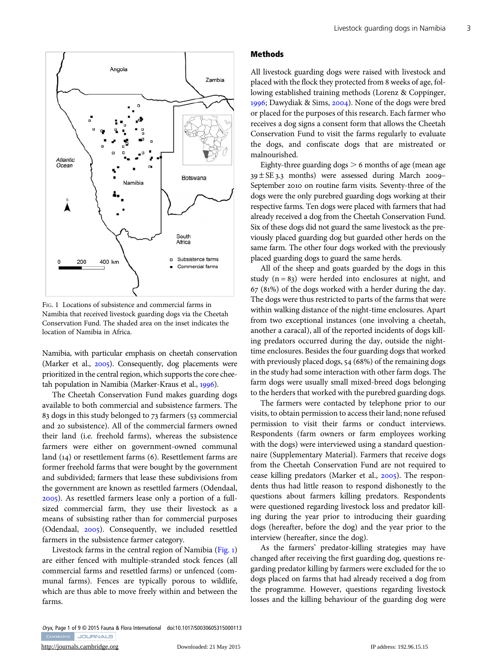<span id="page-2-0"></span>

FIG. 1 Locations of subsistence and commercial farms in Namibia that received livestock guarding dogs via the Cheetah Conservation Fund. The shaded area on the inset indicates the location of Namibia in Africa.

Namibia, with particular emphasis on cheetah conservation (Marker et al., 2005). Consequently, dog placements were prioritized in the central region, which supports the core cheetah population in Namibia (Marker-Kraus et al., 1996).

The Cheetah Conservation Fund makes guarding dogs available to both commercial and subsistence farmers. The  $8<sub>3</sub>$  dogs in this study belonged to  $7<sub>3</sub>$  farmers ( $5<sub>3</sub>$  commercial and 20 subsistence). All of the commercial farmers owned their land (i.e. freehold farms), whereas the subsistence farmers were either on government-owned communal land  $(14)$  or resettlement farms  $(6)$ . Resettlement farms are former freehold farms that were bought by the government and subdivided; farmers that lease these subdivisions from the government are known as resettled farmers (Odendaal, ). As resettled farmers lease only a portion of a fullsized commercial farm, they use their livestock as a means of subsisting rather than for commercial purposes (Odendaal, 2005). Consequently, we included resettled farmers in the subsistence farmer category.

Livestock farms in the central region of Namibia (Fig. 1) are either fenced with multiple-stranded stock fences (all commercial farms and resettled farms) or unfenced (communal farms). Fences are typically porous to wildlife, which are thus able to move freely within and between the farms.

## Methods

All livestock guarding dogs were raised with livestock and placed with the flock they protected from 8 weeks of age, following established training methods (Lorenz & Coppinger, 1996; Dawydiak & Sims, 2004). None of the dogs were bred or placed for the purposes of this research. Each farmer who receives a dog signs a consent form that allows the Cheetah Conservation Fund to visit the farms regularly to evaluate the dogs, and confiscate dogs that are mistreated or malnourished.

Eighty-three guarding dogs  $> 6$  months of age (mean age  $39 \pm SE$  3.3 months) were assessed during March 2009– September 2010 on routine farm visits. Seventy-three of the dogs were the only purebred guarding dogs working at their respective farms. Ten dogs were placed with farmers that had already received a dog from the Cheetah Conservation Fund. Six of these dogs did not guard the same livestock as the previously placed guarding dog but guarded other herds on the same farm. The other four dogs worked with the previously placed guarding dogs to guard the same herds.

All of the sheep and goats guarded by the dogs in this study  $(n = 83)$  were herded into enclosures at night, and  $(67)(81%)$  of the dogs worked with a herder during the day. The dogs were thus restricted to parts of the farms that were within walking distance of the night-time enclosures. Apart from two exceptional instances (one involving a cheetah, another a caracal), all of the reported incidents of dogs killing predators occurred during the day, outside the nighttime enclosures. Besides the four guarding dogs that worked with previously placed dogs,  $54$  (68%) of the remaining dogs in the study had some interaction with other farm dogs. The farm dogs were usually small mixed-breed dogs belonging to the herders that worked with the purebred guarding dogs.

The farmers were contacted by telephone prior to our visits, to obtain permission to access their land; none refused permission to visit their farms or conduct interviews. Respondents (farm owners or farm employees working with the dogs) were interviewed using a standard questionnaire (Supplementary Material). Farmers that receive dogs from the Cheetah Conservation Fund are not required to cease killing predators (Marker et al., 2005). The respondents thus had little reason to respond dishonestly to the questions about farmers killing predators. Respondents were questioned regarding livestock loss and predator killing during the year prior to introducing their guarding dogs (hereafter, before the dog) and the year prior to the interview (hereafter, since the dog).

As the farmers' predator-killing strategies may have changed after receiving the first guarding dog, questions regarding predator killing by farmers were excluded for the dogs placed on farms that had already received a dog from the programme. However, questions regarding livestock losses and the killing behaviour of the guarding dog were

Oryx, Page 1 of 9 © 2015 Fauna & Flora International doi:10.1017/S0030605315000113CAMBRIDGE JOURNALS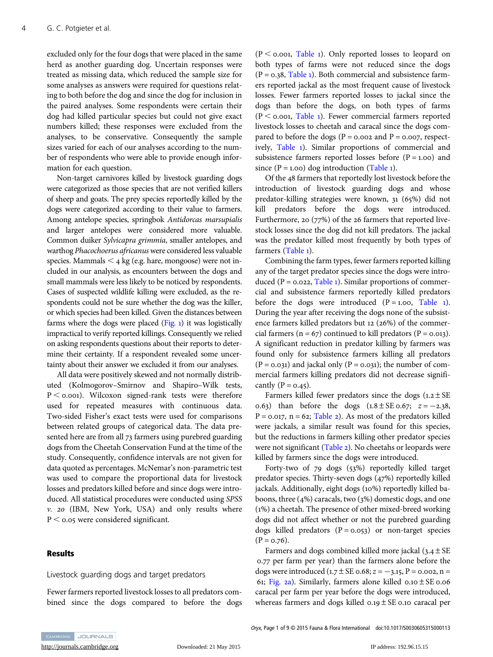excluded only for the four dogs that were placed in the same herd as another guarding dog. Uncertain responses were treated as missing data, which reduced the sample size for some analyses as answers were required for questions relating to both before the dog and since the dog for inclusion in the paired analyses. Some respondents were certain their dog had killed particular species but could not give exact numbers killed; these responses were excluded from the analyses, to be conservative. Consequently the sample sizes varied for each of our analyses according to the number of respondents who were able to provide enough information for each question.

Non-target carnivores killed by livestock guarding dogs were categorized as those species that are not verified killers of sheep and goats. The prey species reportedly killed by the dogs were categorized according to their value to farmers. Among antelope species, springbok Antidorcas marsupialis and larger antelopes were considered more valuable. Common duiker Sylvicapra grimmia, smaller antelopes, and warthog Phacochoerus africanus were considered less valuable species. Mammals  $\lt$  4 kg (e.g. hare, mongoose) were not included in our analysis, as encounters between the dogs and small mammals were less likely to be noticed by respondents. Cases of suspected wildlife killing were excluded, as the respondents could not be sure whether the dog was the killer, or which species had been killed. Given the distances between farms where the dogs were placed  $(Fig. 1)$  $(Fig. 1)$  it was logistically impractical to verify reported killings. Consequently we relied on asking respondents questions about their reports to determine their certainty. If a respondent revealed some uncertainty about their answer we excluded it from our analyses.

All data were positively skewed and not normally distributed (Kolmogorov–Smirnov and Shapiro–Wilk tests,  $P <$  0.001). Wilcoxon signed-rank tests were therefore used for repeated measures with continuous data. Two-sided Fisher's exact tests were used for comparisons between related groups of categorical data. The data presented here are from all 73 farmers using purebred guarding dogs from the Cheetah Conservation Fund at the time of the study. Consequently, confidence intervals are not given for data quoted as percentages. McNemar's non-parametric test was used to compare the proportional data for livestock losses and predators killed before and since dogs were introduced. All statistical procedures were conducted using SPSS  $v.$  20 (IBM, New York, USA) and only results where  $P <$  0.05 were considered significant.

#### **Results**

Livestock guarding dogs and target predators

Fewer farmers reported livestock losses to all predators combined since the dogs compared to before the dogs

 $(P \le 0.001,$  [Table](#page-4-0) 1). Only reported losses to leopard on both types of farms were not reduced since the dogs  $(P = 0.38,$  [Table](#page-4-0) 1). Both commercial and subsistence farmers reported jackal as the most frequent cause of livestock losses. Fewer farmers reported losses to jackal since the dogs than before the dogs, on both types of farms  $(P < 0.001,$  [Table](#page-4-0) 1). Fewer commercial farmers reported livestock losses to cheetah and caracal since the dogs compared to before the dogs ( $P = 0.002$  and  $P = 0.007$ , respect-ively, [Table](#page-4-0) 1). Similar proportions of commercial and subsistence farmers reported losses before  $(P = 1.00)$  and since  $(P = 1.00)$  dog introduction [\(Table](#page-4-0) 1).

Of the 48 farmers that reportedly lost livestock before the introduction of livestock guarding dogs and whose predator-killing strategies were known, 31 (65%) did not kill predators before the dogs were introduced. Furthermore, 20  $(77%)$  of the 26 farmers that reported livestock losses since the dog did not kill predators. The jackal was the predator killed most frequently by both types of farmers [\(Table](#page-4-0) 1).

Combining the farm types, fewer farmers reported killing any of the target predator species since the dogs were introduced ( $P = 0.022$ , [Table](#page-4-0) 1). Similar proportions of commercial and subsistence farmers reportedly killed predators before the dogs were introduced  $(P = 1.00, Table 1)$  $(P = 1.00, Table 1)$  $(P = 1.00, Table 1)$ . During the year after receiving the dogs none of the subsistence farmers killed predators but  $12$  ( $26\%$ ) of the commercial farmers ( $n = 67$ ) continued to kill predators ( $P = 0.013$ ). A significant reduction in predator killing by farmers was found only for subsistence farmers killing all predators  $(P = 0.031)$  and jackal only  $(P = 0.031)$ ; the number of commercial farmers killing predators did not decrease significantly  $(P = 0.45)$ .

Farmers killed fewer predators since the dogs  $(1.2 \pm SE)$ 0.63) than before the dogs  $(1.8 \pm \text{SE} 0.67; z = -2.38,$  $P = 0.017$ , n = 62; [Table](#page-4-0) 2). As most of the predators killed were jackals, a similar result was found for this species, but the reductions in farmers killing other predator species were not significant ([Table](#page-4-0) 2). No cheetahs or leopards were killed by farmers since the dogs were introduced.

Forty-two of  $79 \text{ dogs}$  (53%) reportedly killed target predator species. Thirty-seven dogs  $(47%)$  reportedly killed jackals. Additionally, eight dogs (10%) reportedly killed baboons, three  $(4\%)$  caracals, two  $(3\%)$  domestic dogs, and one  $(1%)$  a cheetah. The presence of other mixed-breed working dogs did not affect whether or not the purebred guarding dogs killed predators  $(P = 0.053)$  or non-target species  $(P = 0.76)$ .

Farmers and dogs combined killed more jackal  $(3.4 \pm SE)$ o.77 per farm per year) than the farmers alone before the dogs were introduced  $(1.7 \pm \text{SE } 0.68; z = -3.15, P = 0.002, n =$ 61; [Fig.](#page-5-0) 2a). Similarly, farmers alone killed  $0.10 \pm SE$  0.06 caracal per farm per year before the dogs were introduced, whereas farmers and dogs killed  $0.19 \pm SE$  0.10 caracal per

Oryx, Page 1 of 9 © 2015 Fauna & Flora International doi:10.1017/S0030605315000113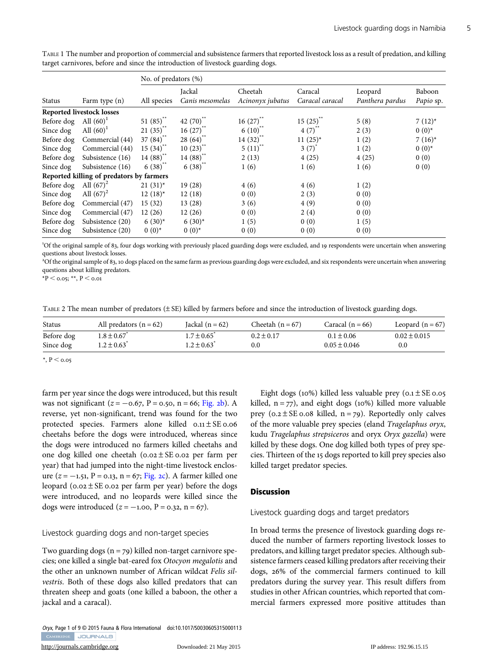|            |                                          | No. of predators (%)   |                           |                             |                            |                            |                     |  |
|------------|------------------------------------------|------------------------|---------------------------|-----------------------------|----------------------------|----------------------------|---------------------|--|
| Status     | Farm type (n)                            | All species            | Jackal<br>Canis mesomelas | Cheetah<br>Acinonyx jubatus | Caracal<br>Caracal caracal | Leopard<br>Panthera pardus | Baboon<br>Papio sp. |  |
|            | Reported livestock losses                |                        |                           |                             |                            |                            |                     |  |
| Before dog | All $(60)^1$                             | $51(85)$ <sup>**</sup> | 42 $(70)^{4}$             | $16(27)$ **                 | 15(25)                     | 5(8)                       | $7(12)^{*}$         |  |
| Since dog  | All $(60)^1$                             | $21(35)$ **            | $16(27)$ **               | $6(10)$ **                  | $4(7)$ <sup>**</sup>       | 2(3)                       | $0(0)^{*}$          |  |
| Before dog | Commercial (44)                          | 37 $(84)^{**}$         | 28 $(64)$ <sup>**</sup>   | $14(32)$ **                 | $11(25)^*$                 | 1(2)                       | $7(16)^{*}$         |  |
| Since dog  | Commercial (44)                          | 15(34)                 | $10(23)$ **               | $5(11)$ **                  | $3(7)^{4}$                 | 1(2)                       | $0(0)^{*}$          |  |
| Before dog | Subsistence (16)                         | $14(88)$ <sup>**</sup> | $14(88)$ <sup>**</sup>    | 2(13)                       | 4(25)                      | 4(25)                      | 0(0)                |  |
| Since dog  | Subsistence (16)                         | $6(38)$ **             | $6(38)$ **                | 1(6)                        | 1(6)                       | 1(6)                       | 0(0)                |  |
|            | Reported killing of predators by farmers |                        |                           |                             |                            |                            |                     |  |
| Before dog | All $(67)^2$                             | $21(31)^*$             | 19(28)                    | 4(6)                        | 4(6)                       | 1(2)                       |                     |  |
| Since dog  | All $(67)^2$                             | $12(18)^*$             | 12(18)                    | 0(0)                        | 2(3)                       | 0(0)                       |                     |  |
| Before dog | Commercial (47)                          | 15(32)                 | 13(28)                    | 3(6)                        | 4(9)                       | 0(0)                       |                     |  |
| Since dog  | Commercial (47)                          | 12(26)                 | 12(26)                    | 0(0)                        | 2(4)                       | 0(0)                       |                     |  |
| Before dog | Subsistence (20)                         | $6(30)^{*}$            | $6(30)^{*}$               | 1(5)                        | 0(0)                       | 1(5)                       |                     |  |
| Since dog  | Subsistence (20)                         | $0(0)^{*}$             | $0(0)^{*}$                | 0(0)                        | 0(0)                       | 0(0)                       |                     |  |

<span id="page-4-0"></span>TABLE 1 The number and proportion of commercial and subsistence farmers that reported livestock loss as a result of predation, and killing target carnivores, before and since the introduction of livestock guarding dogs.

<sup>1</sup>Of the original sample of 83, four dogs working with previously placed guarding dogs were excluded, and 19 respondents were uncertain when answering questions about livestock losses.

<sup>2</sup>Of the original sample of 83, 10 dogs placed on the same farm as previous guarding dogs were excluded, and six respondents were uncertain when answering questions about killing predators.

 $*P < 0.05$ ; \*\*,  $P < 0.01$ 

TABLE 2 The mean number of predators  $(\pm SE)$  killed by farmers before and since the introduction of livestock guarding dogs.

| <b>Status</b> | All predators $(n = 62)$ | Jackal $(n = 62)$ | Cheetah $(n = 67)$ | Caracal $(n = 66)$ | Leopard $(n = 67)$ |
|---------------|--------------------------|-------------------|--------------------|--------------------|--------------------|
| Before dog    | $1.8 \pm 0.67$           | $1.7 \pm 0.65$    | $0.2 \pm 0.17$     | $0.1 \pm 0.06$     | $0.02 \pm 0.015$   |
| Since dog     | $1.2 \pm 0.63$           | $1.2 \pm 0.63$    | 0.0                | $0.05 \pm 0.046$   | 0.0                |

 $*, P < 0.05$ 

farm per year since the dogs were introduced, but this result was not significant ( $z = -0.67$ , P = 0.50, n = 66; [Fig.](#page-5-0) 2b). A reverse, yet non-significant, trend was found for the two protected species. Farmers alone killed  $0.11 \pm SE$   $0.06$ cheetahs before the dogs were introduced, whereas since the dogs were introduced no farmers killed cheetahs and one dog killed one cheetah  $(0.02 \pm \text{SE 0.02 per farm per}$ year) that had jumped into the night-time livestock enclosure ( $z = -1.51$ , P = 0.13, n = 67; [Fig.](#page-5-0) 2c). A farmer killed one leopard  $(0.02 \pm \text{SE } 0.02 \text{ per farm per year})$  before the dogs were introduced, and no leopards were killed since the dogs were introduced  $(z = -1.00, P = 0.32, n = 67)$ .

### Livestock guarding dogs and non-target species

Two guarding dogs ( $n = 79$ ) killed non-target carnivore species; one killed a single bat-eared fox Otocyon megalotis and the other an unknown number of African wildcat Felis silvestris. Both of these dogs also killed predators that can threaten sheep and goats (one killed a baboon, the other a jackal and a caracal).

Eight dogs (10%) killed less valuable prey ( $0.1 \pm SE$  0.05 killed,  $n = 77$ ), and eight dogs (10%) killed more valuable prey ( $0.2 \pm$  SE 0.08 killed, n = 79). Reportedly only calves of the more valuable prey species (eland Tragelaphus oryx, kudu Tragelaphus strepsiceros and oryx Oryx gazella) were killed by these dogs. One dog killed both types of prey species. Thirteen of the 15 dogs reported to kill prey species also killed target predator species.

# Discussion

# Livestock guarding dogs and target predators

In broad terms the presence of livestock guarding dogs reduced the number of farmers reporting livestock losses to predators, and killing target predator species. Although subsistence farmers ceased killing predators after receiving their dogs, 26% of the commercial farmers continued to kill predators during the survey year. This result differs from studies in other African countries, which reported that commercial farmers expressed more positive attitudes than

Oryx, Page 1 of 9 © 2015 Fauna & Flora International doi:10.1017/S0030605315000113CAMBRIDGE JOURNALS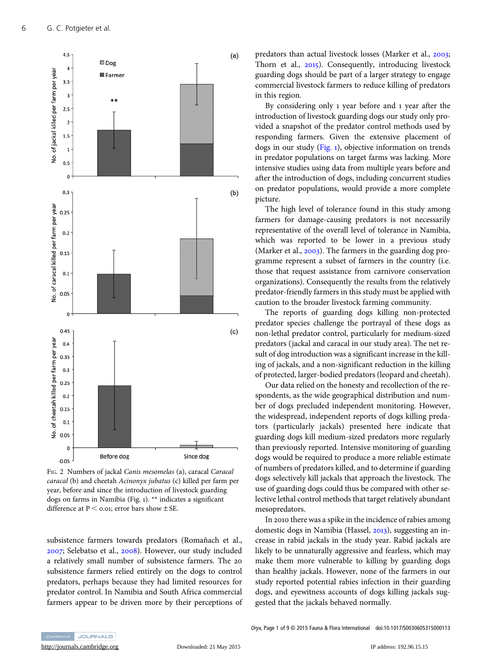<span id="page-5-0"></span>

FIG. 2 Numbers of jackal Canis mesomelas (a), caracal Caracal caracal (b) and cheetah Acinonyx jubatus (c) killed per farm per year, before and since the introduction of livestock guarding dogs on farms in Namibia (Fig. ). \*\* indicates a significant difference at  $P <$  0.01; error bars show  $\pm$  SE.

subsistence farmers towards predators (Romañach et al., 2007; Selebatso et al., 2008). However, our study included a relatively small number of subsistence farmers. The subsistence farmers relied entirely on the dogs to control predators, perhaps because they had limited resources for predator control. In Namibia and South Africa commercial farmers appear to be driven more by their perceptions of predators than actual livestock losses (Marker et al., 2003; Thorn et al., 2015). Consequently, introducing livestock guarding dogs should be part of a larger strategy to engage commercial livestock farmers to reduce killing of predators in this region.

By considering only 1 year before and 1 year after the introduction of livestock guarding dogs our study only provided a snapshot of the predator control methods used by responding farmers. Given the extensive placement of dogs in our study [\(Fig.](#page-2-0) 1), objective information on trends in predator populations on target farms was lacking. More intensive studies using data from multiple years before and after the introduction of dogs, including concurrent studies on predator populations, would provide a more complete picture.

The high level of tolerance found in this study among farmers for damage-causing predators is not necessarily representative of the overall level of tolerance in Namibia, which was reported to be lower in a previous study (Marker et al.,  $2003$ ). The farmers in the guarding dog programme represent a subset of farmers in the country (i.e. those that request assistance from carnivore conservation organizations). Consequently the results from the relatively predator-friendly farmers in this study must be applied with caution to the broader livestock farming community.

The reports of guarding dogs killing non-protected predator species challenge the portrayal of these dogs as non-lethal predator control, particularly for medium-sized predators (jackal and caracal in our study area). The net result of dog introduction was a significant increase in the killing of jackals, and a non-significant reduction in the killing of protected, larger-bodied predators (leopard and cheetah).

Our data relied on the honesty and recollection of the respondents, as the wide geographical distribution and number of dogs precluded independent monitoring. However, the widespread, independent reports of dogs killing predators (particularly jackals) presented here indicate that guarding dogs kill medium-sized predators more regularly than previously reported. Intensive monitoring of guarding dogs would be required to produce a more reliable estimate of numbers of predators killed, and to determine if guarding dogs selectively kill jackals that approach the livestock. The use of guarding dogs could thus be compared with other selective lethal control methods that target relatively abundant mesopredators.

In 2010 there was a spike in the incidence of rabies among domestic dogs in Namibia (Hassel, 2013), suggesting an increase in rabid jackals in the study year. Rabid jackals are likely to be unnaturally aggressive and fearless, which may make them more vulnerable to killing by guarding dogs than healthy jackals. However, none of the farmers in our study reported potential rabies infection in their guarding dogs, and eyewitness accounts of dogs killing jackals suggested that the jackals behaved normally.

Oryx, Page 1 of 9 © 2015 Fauna & Flora International doi:10.1017/S0030605315000113

CAMBRIDGE JOURNALS

<http://journals.cambridge.org> Downloaded: 21 May 2015 IP address: 192.96.15.15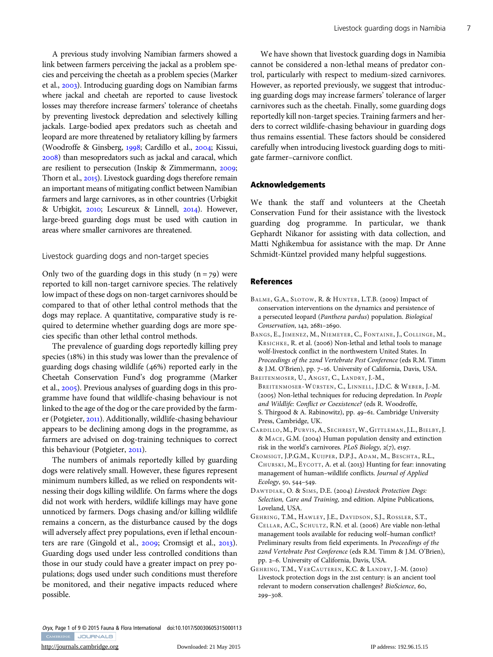<span id="page-6-0"></span>A previous study involving Namibian farmers showed a link between farmers perceiving the jackal as a problem species and perceiving the cheetah as a problem species (Marker et al., 2003). Introducing guarding dogs on Namibian farms where jackal and cheetah are reported to cause livestock losses may therefore increase farmers' tolerance of cheetahs by preventing livestock depredation and selectively killing jackals. Large-bodied apex predators such as cheetah and leopard are more threatened by retaliatory killing by farmers (Woodroffe & Ginsberg, 1998; Cardillo et al., 2004; Kissui, ) than mesopredators such as jackal and caracal, which are resilient to persecution (Inskip & Zimmermann, 2009; Thorn et al., 2015). Livestock guarding dogs therefore remain an important means of mitigating conflict between Namibian farmers and large carnivores, as in other countries (Urbigkit & Urbigkit, 2010; Lescureux & Linnell, 2014). However, large-breed guarding dogs must be used with caution in areas where smaller carnivores are threatened.

## Livestock guarding dogs and non-target species

Only two of the guarding dogs in this study  $(n = 79)$  were reported to kill non-target carnivore species. The relatively low impact of these dogs on non-target carnivores should be compared to that of other lethal control methods that the dogs may replace. A quantitative, comparative study is required to determine whether guarding dogs are more species specific than other lethal control methods.

The prevalence of guarding dogs reportedly killing prey species  $(18%)$  in this study was lower than the prevalence of guarding dogs chasing wildlife (46%) reported early in the Cheetah Conservation Fund's dog programme (Marker et al., 2005). Previous analyses of guarding dogs in this programme have found that wildlife-chasing behaviour is not linked to the age of the dog or the care provided by the farmer (Potgieter, 2011). Additionally, wildlife-chasing behaviour appears to be declining among dogs in the programme, as farmers are advised on dog-training techniques to correct this behaviour (Potgieter, 2011).

The numbers of animals reportedly killed by guarding dogs were relatively small. However, these figures represent minimum numbers killed, as we relied on respondents witnessing their dogs killing wildlife. On farms where the dogs did not work with herders, wildlife killings may have gone unnoticed by farmers. Dogs chasing and/or killing wildlife remains a concern, as the disturbance caused by the dogs will adversely affect prey populations, even if lethal encounters are rare (Gingold et al.,  $2009$ ; Cromsigt et al.,  $2013$ ). Guarding dogs used under less controlled conditions than those in our study could have a greater impact on prey populations; dogs used under such conditions must therefore be monitored, and their negative impacts reduced where possible.

We have shown that livestock guarding dogs in Namibia cannot be considered a non-lethal means of predator control, particularly with respect to medium-sized carnivores. However, as reported previously, we suggest that introducing guarding dogs may increase farmers' tolerance of larger carnivores such as the cheetah. Finally, some guarding dogs reportedly kill non-target species. Training farmers and herders to correct wildlife-chasing behaviour in guarding dogs thus remains essential. These factors should be considered carefully when introducing livestock guarding dogs to mitigate farmer–carnivore conflict.

# Acknowledgements

We thank the staff and volunteers at the Cheetah Conservation Fund for their assistance with the livestock guarding dog programme. In particular, we thank Gephardt Nikanor for assisting with data collection, and Matti Nghikembua for assistance with the map. Dr Anne Schmidt-Küntzel provided many helpful suggestions.

## References

- BALME, G.A., SLOTOW, R. & HUNTER, L.T.B. (2009) Impact of conservation interventions on the dynamics and persistence of a persecuted leopard (Panthera pardus) population. Biological Conservation, 142, 2681-2690.
- BANGS, E., JIMENEZ, M., NIEMEYER, C., FONTAINE, J., COLLINGE, M., KRSICHKE, R. et al. (2006) Non-lethal and lethal tools to manage wolf-livestock conflict in the northwestern United States. In Proceedings of the 22nd Vertebrate Pest Conference (eds R.M. Timm & J.M. O'Brien), pp. 7-16. University of California, Davis, USA.
- BREITENMOSER, U., ANGST, C., LANDRY, J.-M., BREITENMOSER-WÜRSTEN, C., LINNELL, J.D.C. & WEBER, J.-M. (2005) Non-lethal techniques for reducing depredation. In People and Wildlife: Conflict or Coexistence? (eds R. Woodroffe, S. Thirgood & A. Rabinowitz), pp. 49-61. Cambridge University Press, Cambridge, UK.
- CARDILLO, M., PURVIS, A., SECHREST, W., GITTLEMAN, J.L., BIELBY, J. & MACE, G.M. (2004) Human population density and extinction risk in the world's carnivores. PLoS Biology,  $2(7)$ , e197.
- CROMSIGT, J.P.G.M., KUIJPER, D.P.J., ADAM, M., BESCHTA, R.L., CHURSKI, M., EYCOTT, A. et al. (2013) Hunting for fear: innovating management of human–wildlife conflicts. Journal of Applied Ecology, 50, 544-549.
- DAWYDIAK, O. & SIMS, D.E. (2004) Livestock Protection Dogs: Selection, Care and Training, 2nd edition. Alpine Publications, Loveland, USA.
- GEHRING, T.M., HAWLEY, J.E., DAVIDSON, S.J., ROSSLER, S.T., CELLAR, A.C., SCHULTZ, R.N. et al. (2006) Are viable non-lethal management tools available for reducing wolf–human conflict? Preliminary results from field experiments. In Proceedings of the 22nd Vertebrate Pest Conference (eds R.M. Timm & J.M. O'Brien), pp. 2-6. University of California, Davis, USA.
- GEHRING, T.M., VERCAUTEREN, K.C. & LANDRY, J.-M. (2010) Livestock protection dogs in the 21st century: is an ancient tool relevant to modern conservation challenges? BioScience, 60, 299-308.

Oryx, Page 1 of 9 © 2015 Fauna & Flora International doi:10.1017/S0030605315000113CAMBRIDGE JOURNALS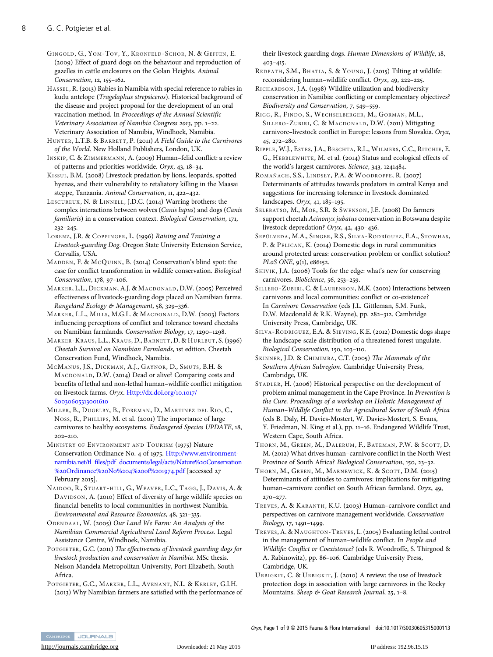<span id="page-7-0"></span>GINGOLD, G., YOM-TOV, Y., KRONFELD-SCHOR, N. & GEFFEN, E. (2009) Effect of guard dogs on the behaviour and reproduction of gazelles in cattle enclosures on the Golan Heights. Animal Conservation, 12, 155-162.

HASSEL, R. (2013) Rabies in Namibia with special reference to rabies in kudu antelope (Tragelaphus strepsiceros). Historical background of the disease and project proposal for the development of an oral vaccination method. In Proceedings of the Annual Scientific Veterinary Association of Namibia Congress 2013, pp. 1-22. Veterinary Association of Namibia, Windhoek, Namibia.

HUNTER, L.T.B. & BARRETT, P. (2011) A Field Guide to the Carnivores of the World. New Holland Publishers, London, UK.

INSKIP, C. & ZIMMERMANN, A. (2009) Human-felid conflict: a review of patterns and priorities worldwide. Oryx,  $43, 18-34$ .

KISSUI, B.M. (2008) Livestock predation by lions, leopards, spotted hyenas, and their vulnerability to retaliatory killing in the Maasai steppe, Tanzania. Animal Conservation, 11, 422-432.

LESCUREUX, N. & LINNELL, J.D.C. (2014) Warring brothers: the complex interactions between wolves (Canis lupus) and dogs (Canis familiaris) in a conservation context. Biological Conservation, 171,  $232 - 245.$ 

LORENZ, J.R. & COPPINGER, L. (1996) Raising and Training a Livestock-guarding Dog. Oregon State University Extension Service, Corvallis, USA.

MADDEN, F. & McQUINN, B. (2014) Conservation's blind spot: the case for conflict transformation in wildlife conservation. Biological Conservation, 178, 97-106.

MARKER, L.L., DICKMAN, A.J. & MACDONALD, D.W. (2005) Perceived effectiveness of livestock-guarding dogs placed on Namibian farms. Rangeland Ecology & Management, 58, 329-336.

MARKER, L.L., MILLS, M.G.L. & MACDONALD, D.W. (2003) Factors influencing perceptions of conflict and tolerance toward cheetahs on Namibian farmlands. Conservation Biology, 17, 1290-1298.

MARKER-KRAUS, L.L., KRAUS, D., BARNETT, D. & HURLBUT, S. (1996) Cheetah Survival on Namibian Farmlands, st edition. Cheetah Conservation Fund, Windhoek, Namibia.

MCMANUS, J.S., DICKMAN, A.J., GAYNOR, D., SMUTS, B.H. & MACDONALD, D.W. (2014) Dead or alive? Comparing costs and benefits of lethal and non-lethal human–wildlife conflict mitigation on livestock farms. Oryx. [Http://dx.doi.org/](http://dx.doi.org/10.1017/S0030605313001610)10.1017/ S0030605313001610

MILLER, B., DUGELBY, B., FOREMAN, D., MARTINEZ DEL RIO, C., NOSS, R., PHILLIPS, M. et al. (2001) The importance of large carnivores to healthy ecosystems. Endangered Species UPDATE, 18,  $202 - 210$ .

MINISTRY OF ENVIRONMENT AND TOURISM (1975) Nature Conservation Ordinance No. 4 of 1975. [Http://www.environment](http://www.environment-namibia.net/tl_files/pdf_documents/legal/acts/Nature%20Conservation%20Ordinance%20No%204%20of%201974.pdf)[namibia.net/tl\\_files/pdf\\_documents/legal/acts/Nature%](http://www.environment-namibia.net/tl_files/pdf_documents/legal/acts/Nature%20Conservation%20Ordinance%20No%204%20of%201974.pdf)20Conservation %20[Ordinance%](http://www.environment-namibia.net/tl_files/pdf_documents/legal/acts/Nature%20Conservation%20Ordinance%20No%204%20of%201974.pdf)20No%204%200f%201974.pdf [accessed 27 February 2015].

NAIDOO, R., STUART-HILL, G., WEAVER, L.C., TAGG, J., DAVIS, A. & DAVIDSON, A. (2010) Effect of diversity of large wildlife species on financial benefits to local communities in northwest Namibia. Environmental and Resource Economics, 48, 321-335.

ODENDAAL, W. (2005) Our Land We Farm: An Analysis of the Namibian Commercial Agricultural Land Reform Process. Legal Assistance Centre, Windhoek, Namibia.

POTGIETER, G.C. (2011) The effectiveness of livestock guarding dogs for livestock production and conservation in Namibia. MSc thesis. Nelson Mandela Metropolitan University, Port Elizabeth, South Africa.

POTGIETER, G.C., MARKER, L.L., AVENANT, N.L. & KERLEY, G.I.H. (2013) Why Namibian farmers are satisfied with the performance of their livestock guarding dogs. Human Dimensions of Wildlife, 18,  $403 - 415$ 

REDPATH, S.M., BHATIA, S. & YOUNG, J. (2015) Tilting at wildlife: reconsidering human-wildlife conflict. Oryx, 49, 222-225.

RICHARDSON, J.A. (1998) Wildlife utilization and biodiversity conservation in Namibia: conflicting or complementary objectives? Biodiversity and Conservation, 7, 549-559.

RIGG, R., FINDO, S., WECHSELBERGER, M., GORMAN, M.L., SILLERO-ZUBIRI, C. & MACDONALD, D.W. (2011) Mitigating carnivore–livestock conflict in Europe: lessons from Slovakia. Oryx,  $45, 272 - 280.$ 

RIPPLE, W.J., ESTES, J.A., BESCHTA, R.L., WILMERS, C.C., RITCHIE, E. G., HEBBLEWHITE, M. et al. (2014) Status and ecological effects of the world's largest carnivores. Science, 343, 1241484.

ROMAÑACH, S.S., LINDSEY, P.A. & WOODROFFE, R. (2007) Determinants of attitudes towards predators in central Kenya and suggestions for increasing tolerance in livestock dominated landscapes.  $Oryx$ , 41, 185-195.

SELEBATSO, M., MOE, S.R. & SWENSON, J.E. (2008) Do farmers support cheetah Acinonyx jubatus conservation in Botswana despite livestock depredation? Oryx, 42, 430-436.

SEPÚLVEDA, M.A., SINGER, R.S., SILVA-RODRÍGUEZ, E.A., STOWHAS, P. & PELICAN, K. (2014) Domestic dogs in rural communities around protected areas: conservation problem or conflict solution? PLoS ONE,  $9(1)$ , e86152.

SHIVIK, J.A. (2006) Tools for the edge: what's new for conserving carnivores. BioScience, 56, 253-259.

SILLERO-ZUBIRI, C. & LAURENSON, M.K. (2001) Interactions between carnivores and local communities: conflict or co-existence? In Carnivore Conservation (eds J.L. Gittleman, S.M. Funk, D.W. Macdonald & R.K. Wayne), pp. 282-312. Cambridge University Press, Cambridge, UK.

SILVA-RODRÍGUEZ, E.A. & SIEVING, K.E. (2012) Domestic dogs shape the landscape-scale distribution of a threatened forest ungulate. Biological Conservation, 150, 103-110.

SKINNER, J.D. & CHIMIMBA, C.T. (2005) The Mammals of the Southern African Subregion. Cambridge University Press, Cambridge, UK.

STADLER, H. (2006) Historical perspective on the development of problem animal management in the Cape Province. In Prevention is the Cure. Proceedings of a workshop on Holistic Management of Human–Wildlife Conflict in the Agricultural Sector of South Africa (eds B. Daly, H. Davies-Mostert, W. Davies-Mostert, S. Evans, Y. Friedman, N. King et al.), pp. 11-16. Endangered Wildlife Trust, Western Cape, South Africa.

THORN, M., GREEN, M., DALERUM, F., BATEMAN, P.W. & SCOTT, D. M. (2012) What drives human–carnivore conflict in the North West Province of South Africa? Biological Conservation, 150, 23-32.

THORN, M., GREEN, M., MARNEWICK, K. & SCOTT, D.M. (2015) Determinants of attitudes to carnivores: implications for mitigating human-carnivore conflict on South African farmland. Oryx, 49,  $270 - 277.$ 

TREVES, A. & KARANTH, K.U. (2003) Human-carnivore conflict and perspectives on carnivore management worldwide. Conservation  $Biology, 17, 1491-1499.$ 

TREVES, A. & NAUGHTON-TREVES, L. (2005) Evaluating lethal control in the management of human–wildlife conflict. In People and Wildlife: Conflict or Coexistence? (eds R. Woodroffe, S. Thirgood & A. Rabinowitz), pp. 86-106. Cambridge University Press, Cambridge, UK.

URBIGKIT, C. & URBIGKIT, J. (2010) A review: the use of livestock protection dogs in association with large carnivores in the Rocky Mountains. Sheep & Goat Research Journal, 25, 1-8.

Oryx, Page 1 of 9 © 2015 Fauna & Flora International doi:10.1017/S0030605315000113

CAMBRIDGE JOURNALS